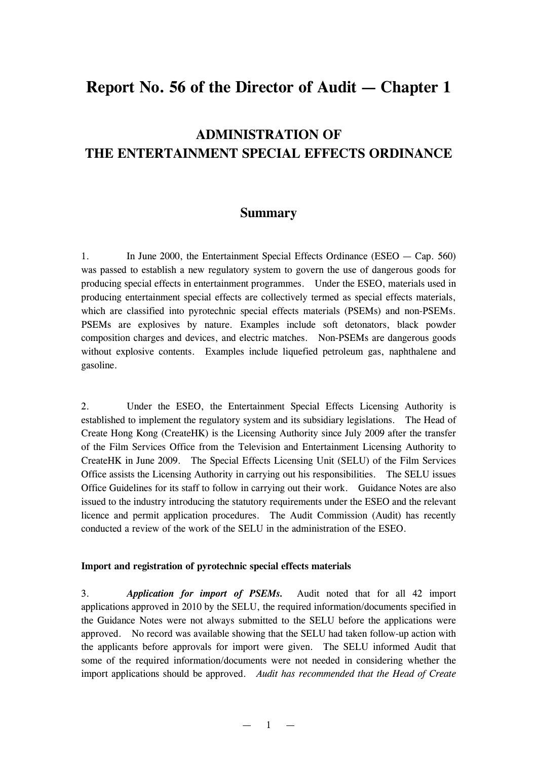# **Report No. 56 of the Director of Audit — Chapter 1**

# **ADMINISTRATION OF THE ENTERTAINMENT SPECIAL EFFECTS ORDINANCE**

# **Summary**

1. In June 2000, the Entertainment Special Effects Ordinance (ESEO — Cap. 560) was passed to establish a new regulatory system to govern the use of dangerous goods for producing special effects in entertainment programmes. Under the ESEO, materials used in producing entertainment special effects are collectively termed as special effects materials, which are classified into pyrotechnic special effects materials (PSEMs) and non-PSEMs. PSEMs are explosives by nature. Examples include soft detonators, black powder composition charges and devices, and electric matches. Non-PSEMs are dangerous goods without explosive contents. Examples include liquefied petroleum gas, naphthalene and gasoline.

2. Under the ESEO, the Entertainment Special Effects Licensing Authority is established to implement the regulatory system and its subsidiary legislations. The Head of Create Hong Kong (CreateHK) is the Licensing Authority since July 2009 after the transfer of the Film Services Office from the Television and Entertainment Licensing Authority to CreateHK in June 2009. The Special Effects Licensing Unit (SELU) of the Film Services Office assists the Licensing Authority in carrying out his responsibilities. The SELU issues Office Guidelines for its staff to follow in carrying out their work. Guidance Notes are also issued to the industry introducing the statutory requirements under the ESEO and the relevant licence and permit application procedures. The Audit Commission (Audit) has recently conducted a review of the work of the SELU in the administration of the ESEO.

### **Import and registration of pyrotechnic special effects materials**

3. *Application for import of PSEMs.* Audit noted that for all 42 import applications approved in 2010 by the SELU, the required information/documents specified in the Guidance Notes were not always submitted to the SELU before the applications were approved. No record was available showing that the SELU had taken follow-up action with the applicants before approvals for import were given. The SELU informed Audit that some of the required information/documents were not needed in considering whether the import applications should be approved. *Audit has recommended that the Head of Create*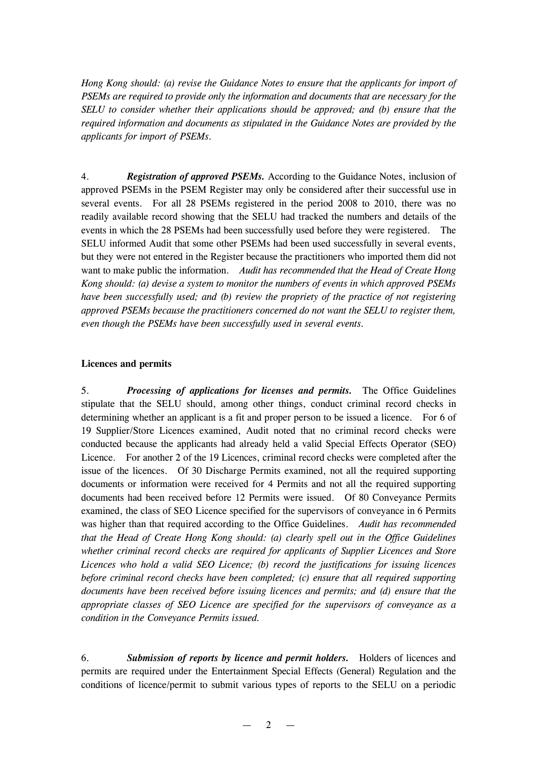*Hong Kong should: (a) revise the Guidance Notes to ensure that the applicants for import of PSEMs are required to provide only the information and documents that are necessary for the SELU to consider whether their applications should be approved; and (b) ensure that the required information and documents as stipulated in the Guidance Notes are provided by the applicants for import of PSEMs.*

4. *Registration of approved PSEMs.* According to the Guidance Notes, inclusion of approved PSEMs in the PSEM Register may only be considered after their successful use in several events. For all 28 PSEMs registered in the period 2008 to 2010, there was no readily available record showing that the SELU had tracked the numbers and details of the events in which the 28 PSEMs had been successfully used before they were registered. The SELU informed Audit that some other PSEMs had been used successfully in several events, but they were not entered in the Register because the practitioners who imported them did not want to make public the information. *Audit has recommended that the Head of Create Hong Kong should: (a) devise a system to monitor the numbers of events in which approved PSEMs have been successfully used; and (b) review the propriety of the practice of not registering approved PSEMs because the practitioners concerned do not want the SELU to register them, even though the PSEMs have been successfully used in several events.*

# **Licences and permits**

5. *Processing of applications for licenses and permits.* The Office Guidelines stipulate that the SELU should, among other things, conduct criminal record checks in determining whether an applicant is a fit and proper person to be issued a licence. For 6 of 19 Supplier/Store Licences examined, Audit noted that no criminal record checks were conducted because the applicants had already held a valid Special Effects Operator (SEO) Licence. For another 2 of the 19 Licences, criminal record checks were completed after the issue of the licences. Of 30 Discharge Permits examined, not all the required supporting documents or information were received for 4 Permits and not all the required supporting documents had been received before 12 Permits were issued. Of 80 Conveyance Permits examined, the class of SEO Licence specified for the supervisors of conveyance in 6 Permits was higher than that required according to the Office Guidelines. *Audit has recommended that the Head of Create Hong Kong should: (a) clearly spell out in the Office Guidelines whether criminal record checks are required for applicants of Supplier Licences and Store Licences who hold a valid SEO Licence; (b) record the justifications for issuing licences before criminal record checks have been completed; (c) ensure that all required supporting documents have been received before issuing licences and permits; and (d) ensure that the appropriate classes of SEO Licence are specified for the supervisors of conveyance as a condition in the Conveyance Permits issued.*

6. *Submission of reports by licence and permit holders.* Holders of licences and permits are required under the Entertainment Special Effects (General) Regulation and the conditions of licence/permit to submit various types of reports to the SELU on a periodic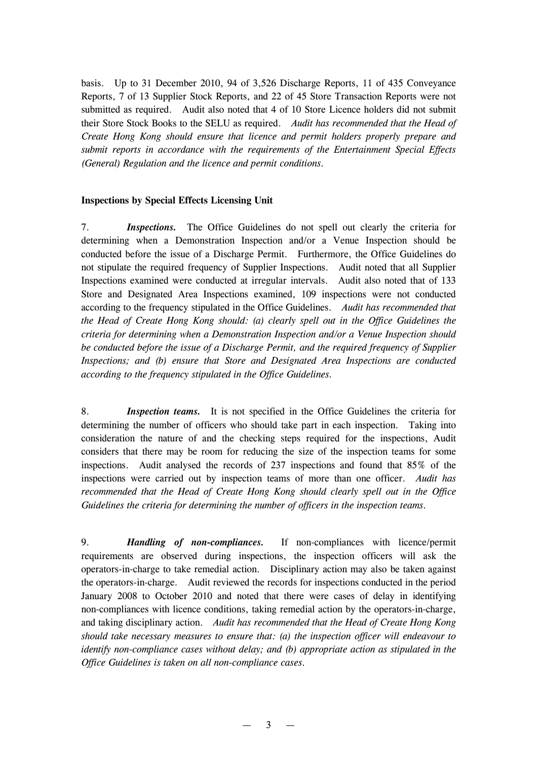basis. Up to 31 December 2010, 94 of 3,526 Discharge Reports, 11 of 435 Conveyance Reports, 7 of 13 Supplier Stock Reports, and 22 of 45 Store Transaction Reports were not submitted as required. Audit also noted that 4 of 10 Store Licence holders did not submit their Store Stock Books to the SELU as required. *Audit has recommended that the Head of Create Hong Kong should ensure that licence and permit holders properly prepare and submit reports in accordance with the requirements of the Entertainment Special Effects (General) Regulation and the licence and permit conditions.*

#### **Inspections by Special Effects Licensing Unit**

7. *Inspections.* The Office Guidelines do not spell out clearly the criteria for determining when a Demonstration Inspection and/or a Venue Inspection should be conducted before the issue of a Discharge Permit. Furthermore, the Office Guidelines do not stipulate the required frequency of Supplier Inspections. Audit noted that all Supplier Inspections examined were conducted at irregular intervals. Audit also noted that of 133 Store and Designated Area Inspections examined, 109 inspections were not conducted according to the frequency stipulated in the Office Guidelines. *Audit has recommended that the Head of Create Hong Kong should: (a) clearly spell out in the Office Guidelines the criteria for determining when a Demonstration Inspection and/or a Venue Inspection should be conducted before the issue of a Discharge Permit, and the required frequency of Supplier Inspections; and (b) ensure that Store and Designated Area Inspections are conducted according to the frequency stipulated in the Office Guidelines.*

8. *Inspection teams.* It is not specified in the Office Guidelines the criteria for determining the number of officers who should take part in each inspection. Taking into consideration the nature of and the checking steps required for the inspections, Audit considers that there may be room for reducing the size of the inspection teams for some inspections. Audit analysed the records of 237 inspections and found that 85% of the inspections were carried out by inspection teams of more than one officer. *Audit has recommended that the Head of Create Hong Kong should clearly spell out in the Office Guidelines the criteria for determining the number of officers in the inspection teams.*

9. *Handling of non-compliances.* If non-compliances with licence/permit requirements are observed during inspections, the inspection officers will ask the operators-in-charge to take remedial action. Disciplinary action may also be taken against the operators-in-charge. Audit reviewed the records for inspections conducted in the period January 2008 to October 2010 and noted that there were cases of delay in identifying non-compliances with licence conditions, taking remedial action by the operators-in-charge, and taking disciplinary action. *Audit has recommended that the Head of Create Hong Kong should take necessary measures to ensure that: (a) the inspection officer will endeavour to identify non-compliance cases without delay; and (b) appropriate action as stipulated in the Office Guidelines is taken on all non-compliance cases.*